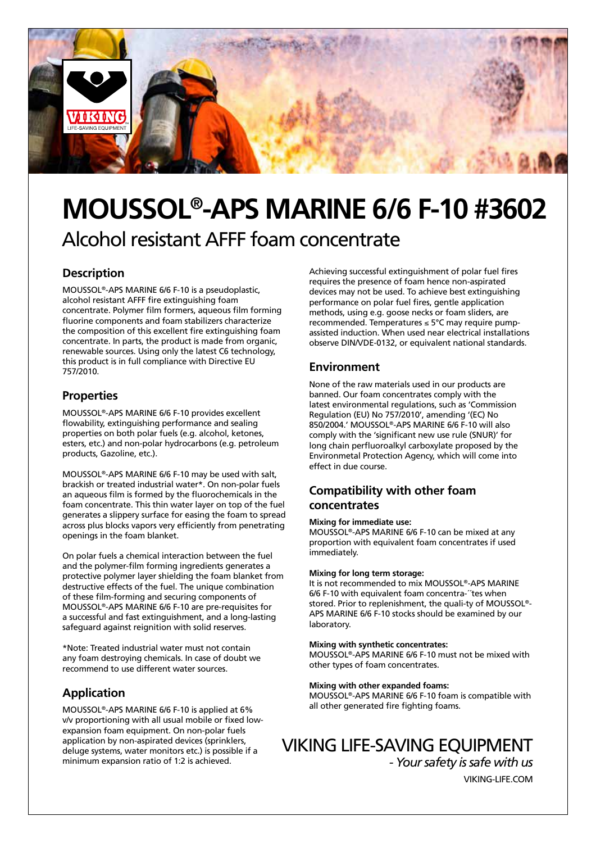

# **MOUSSOL®-APS MARINE 6/6 F-10 #3602** Alcohol resistant AFFF foam concentrate

## **Description**

MOUSSOL®-APS MARINE 6/6 F-10 is a pseudoplastic, alcohol resistant AFFF fire extinguishing foam concentrate. Polymer film formers, aqueous film forming fluorine components and foam stabilizers characterize the composition of this excellent fire extinguishing foam concentrate. In parts, the product is made from organic, renewable sources. Using only the latest C6 technology, this product is in full compliance with Directive EU 757/2010.

### **Properties**

MOUSSOL®-APS MARINE 6/6 F-10 provides excellent flowability, extinguishing performance and sealing properties on both polar fuels (e.g. alcohol, ketones, esters, etc.) and non-polar hydrocarbons (e.g. petroleum products, Gazoline, etc.).

MOUSSOL®-APS MARINE 6/6 F-10 may be used with salt, brackish or treated industrial water\*. On non-polar fuels an aqueous film is formed by the fluorochemicals in the foam concentrate. This thin water layer on top of the fuel generates a slippery surface for easing the foam to spread across plus blocks vapors very efficiently from penetrating openings in the foam blanket.

On polar fuels a chemical interaction between the fuel and the polymer-film forming ingredients generates a protective polymer layer shielding the foam blanket from destructive effects of the fuel. The unique combination of these film-forming and securing components of MOUSSOL®-APS MARINE 6/6 F-10 are pre-requisites for a successful and fast extinguishment, and a long-lasting safeguard against reignition with solid reserves.

\*Note: Treated industrial water must not contain any foam destroying chemicals. In case of doubt we recommend to use different water sources.

## **Application**

MOUSSOL®-APS MARINE 6/6 F-10 is applied at 6% v/v proportioning with all usual mobile or fixed lowexpansion foam equipment. On non-polar fuels application by non-aspirated devices (sprinklers, deluge systems, water monitors etc.) is possible if a minimum expansion ratio of 1:2 is achieved.

Achieving successful extinguishment of polar fuel fires requires the presence of foam hence non-aspirated devices may not be used. To achieve best extinguishing performance on polar fuel fires, gentle application methods, using e.g. goose necks or foam sliders, are recommended. Temperatures ≤ 5°C may require pumpassisted induction. When used near electrical installations observe DIN/VDE-0132, or equivalent national standards.

## **Environment**

None of the raw materials used in our products are banned. Our foam concentrates comply with the latest environmental regulations, such as 'Commission Regulation (EU) No 757/2010', amending '(EC) No 850/2004.' MOUSSOL®-APS MARINE 6/6 F-10 will also comply with the 'significant new use rule (SNUR)' for long chain perfluoroalkyl carboxylate proposed by the Environmetal Protection Agency, which will come into effect in due course.

## **Compatibility with other foam concentrates**

#### **Mixing for immediate use:**

MOUSSOL®-APS MARINE 6/6 F-10 can be mixed at any proportion with equivalent foam concentrates if used immediately.

#### **Mixing for long term storage:**

It is not recommended to mix MOUSSOL®-APS MARINE 6/6 F-10 with equivalent foam concentra-´´tes when stored. Prior to replenishment, the quali-ty of MOUSSOL®- APS MARINE 6/6 F-10 stocks should be examined by our laboratory.

#### **Mixing with synthetic concentrates:**

MOUSSOL®-APS MARINE 6/6 F-10 must not be mixed with other types of foam concentrates.

#### **Mixing with other expanded foams:**

MOUSSOL®-APS MARINE 6/6 F-10 foam is compatible with all other generated fire fighting foams.

## VIKING LIFE-SAVING EQUIPMENT

*- Your safety is safe with us* VIKING-LIFE.COM